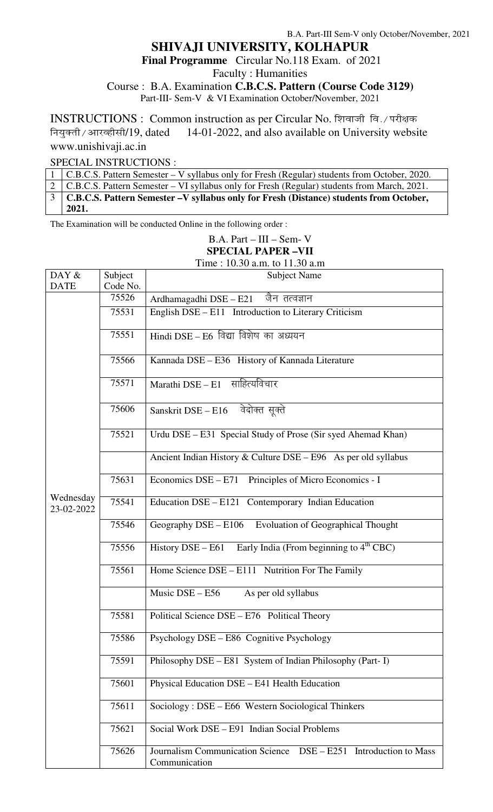#### B.A. Part-III Sem-V only October/November, 2021 **SHIVAJI UNIVERSITY, KOLHAPUR Final Programme** Circular No.118 Exam. of 2021 Faculty : Humanities Course : B.A. Examination **C.B.C.S. Pattern (Course Code 3129)** Part-III- Sem-V & VI Examination October/November, 2021

INSTRUCTIONS : Common instruction as per Circular No. शिवाजी वि./ परीक्षक नियुक्ती / आरव्हीसी/19, dated 14-01-2022, and also available on University website www.unishivaji.ac.in

SPECIAL INSTRUCTIONS :

| 1   C.B.C.S. Pattern Semester – V syllabus only for Fresh (Regular) students from October, 2020.    |
|-----------------------------------------------------------------------------------------------------|
| 2   C.B.C.S. Pattern Semester – VI syllabus only for Fresh (Regular) students from March, 2021.     |
| 3   C.B.C.S. Pattern Semester -V syllabus only for Fresh (Distance) students from October,<br>2021. |

The Examination will be conducted Online in the following order :

#### B.A. Part – III – Sem- V **SPECIAL PAPER –VII**  Time : 10.30 a.m. to 11.30 a.m

| DAY $&$                 | Subject  | <b>Subject Name</b>                                              |
|-------------------------|----------|------------------------------------------------------------------|
| <b>DATE</b>             | Code No. |                                                                  |
|                         | 75526    | Ardhamagadhi $DSE - E21$ जैन तत्वज्ञान                           |
|                         | 75531    | English DSE - E11 Introduction to Literary Criticism             |
|                         |          |                                                                  |
|                         | 75551    | Hindi DSE - E6 विद्या विशेष का अध्ययन                            |
|                         |          |                                                                  |
|                         |          |                                                                  |
|                         | 75566    | Kannada DSE - E36 History of Kannada Literature                  |
|                         |          |                                                                  |
|                         | 75571    | Marathi DSE - E1 साहित्यविचार                                    |
|                         |          |                                                                  |
|                         | 75606    | Sanskrit DSE - E16 वेदोक्त सूक्ते                                |
|                         |          |                                                                  |
|                         |          |                                                                  |
|                         | 75521    | Urdu DSE - E31 Special Study of Prose (Sir syed Ahemad Khan)     |
|                         |          |                                                                  |
|                         |          | Ancient Indian History & Culture $DSE - E96$ As per old syllabus |
|                         |          |                                                                  |
|                         | 75631    | Economics DSE – E71 Principles of Micro Economics - I            |
|                         |          |                                                                  |
| Wednesday<br>23-02-2022 | 75541    | Education DSE - E121 Contemporary Indian Education               |
|                         |          |                                                                  |
|                         | 75546    | Geography DSE - E106 Evoluation of Geographical Thought          |
|                         |          |                                                                  |
|                         | 75556    | History DSE – E61 Early India (From beginning to $4th$ CBC)      |
|                         |          |                                                                  |
|                         | 75561    | Home Science DSE - E111 Nutrition For The Family                 |
|                         |          |                                                                  |
|                         |          | Music $DSE - E56$<br>As per old syllabus                         |
|                         |          |                                                                  |
|                         | 75581    | Political Science DSE – E76 Political Theory                     |
|                         |          |                                                                  |
|                         | 75586    | Psychology DSE – E86 Cognitive Psychology                        |
|                         |          |                                                                  |
|                         | 75591    | Philosophy DSE - E81 System of Indian Philosophy (Part- I)       |
|                         |          |                                                                  |
|                         | 75601    | Physical Education DSE - E41 Health Education                    |
|                         |          |                                                                  |
|                         | 75611    | Sociology: DSE - E66 Western Sociological Thinkers               |
|                         |          |                                                                  |
|                         | 75621    | Social Work DSE - E91 Indian Social Problems                     |
|                         |          |                                                                  |
|                         |          |                                                                  |
|                         | 75626    | Journalism Communication Science DSE – E251 Introduction to Mass |
|                         |          | Communication                                                    |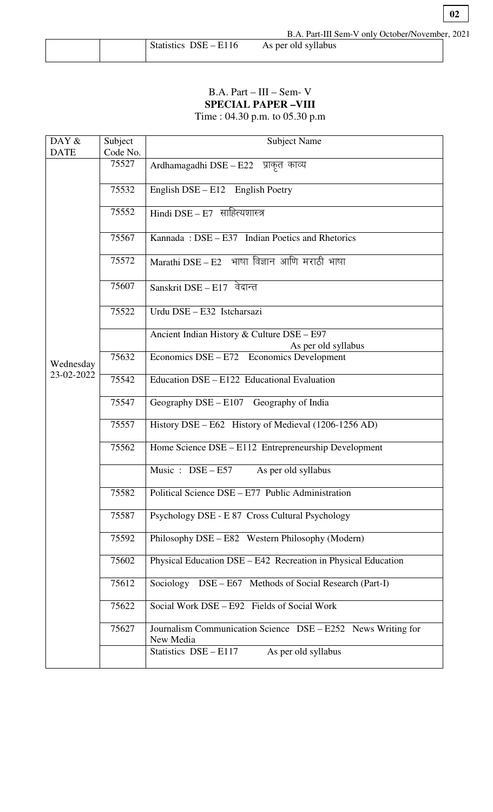| <b>DSE</b><br>$- E116$<br><b>Statistics</b> | As per old syllabus |
|---------------------------------------------|---------------------|
|---------------------------------------------|---------------------|

# B.A. Part – III – Sem- V **SPECIAL PAPER –VIII**

Time : 04.30 p.m. to 05.30 p.m

| DAY &       | Subject  | <b>Subject Name</b>                                                       |
|-------------|----------|---------------------------------------------------------------------------|
| <b>DATE</b> | Code No. |                                                                           |
|             | 75527    | Ardhamagadhi DSE - E22 प्राकृत काव्य                                      |
|             |          |                                                                           |
|             | 75532    | English $DSE - E12$ English Poetry                                        |
|             |          |                                                                           |
|             | 75552    | Hindi $DSE - E7$ साहित्यशास्त्र                                           |
|             |          |                                                                           |
|             | 75567    | Kannada: DSE – E37 Indian Poetics and Rhetorics                           |
|             |          |                                                                           |
|             | 75572    | Marathi DSE - E2 भाषा विज्ञान आणि मराठी भाषा                              |
|             |          |                                                                           |
|             | 75607    | Sanskrit DSE - E17 वेदान्त                                                |
|             |          |                                                                           |
|             | 75522    | Urdu DSE - E32 Istcharsazi                                                |
|             |          | Ancient Indian History & Culture DSE - E97                                |
|             |          | As per old syllabus                                                       |
|             | 75632    | Economics DSE – E72 Economics Development                                 |
| Wednesday   |          |                                                                           |
| 23-02-2022  | 75542    | Education DSE - E122 Educational Evaluation                               |
|             |          |                                                                           |
|             | 75547    | Geography DSE – E107 Geography of India                                   |
|             |          |                                                                           |
|             | 75557    | History DSE – E62 History of Medieval (1206-1256 AD)                      |
|             | 75562    | Home Science DSE - E112 Entrepreneurship Development                      |
|             |          |                                                                           |
|             |          | Music: $DSE - E57$<br>As per old syllabus                                 |
|             |          |                                                                           |
|             | 75582    | Political Science DSE - E77 Public Administration                         |
|             |          |                                                                           |
|             | 75587    | Psychology DSE - E 87 Cross Cultural Psychology                           |
|             | 75592    | Philosophy DSE – E82 Western Philosophy (Modern)                          |
|             |          |                                                                           |
|             | 75602    | Physical Education DSE - E42 Recreation in Physical Education             |
|             |          |                                                                           |
|             | 75612    | DSE – E67 Methods of Social Research (Part-I)<br>Sociology                |
|             |          |                                                                           |
|             | 75622    | Social Work DSE - E92 Fields of Social Work                               |
|             |          |                                                                           |
|             | 75627    | Journalism Communication Science DSE - E252 News Writing for<br>New Media |
|             |          | As per old syllabus<br>Statistics $DSE - E117$                            |
|             |          |                                                                           |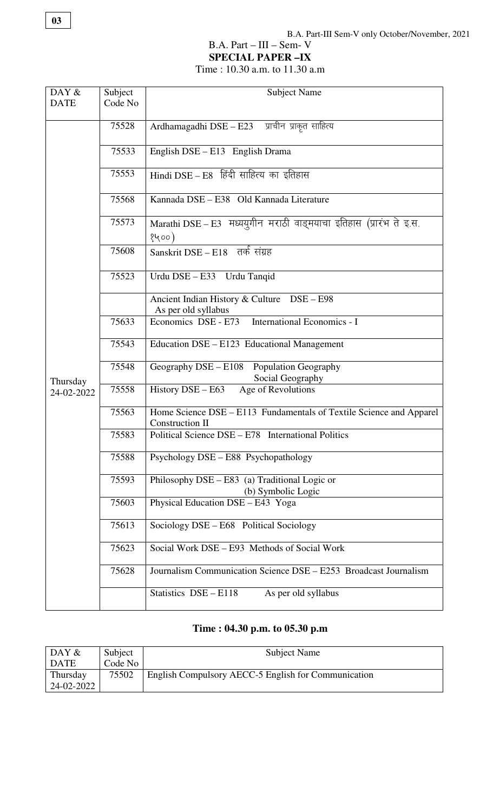# B.A. Part – III – Sem- V **SPECIAL PAPER –IX**

Time : 10.30 a.m. to 11.30 a.m

| DAY &                  | Subject | <b>Subject Name</b>                                                 |
|------------------------|---------|---------------------------------------------------------------------|
| <b>DATE</b>            | Code No |                                                                     |
|                        |         |                                                                     |
|                        | 75528   | Ardhamagadhi DSE - E23 प्राचीन प्राकृत साहित्य                      |
|                        |         |                                                                     |
|                        | 75533   | English DSE - E13 English Drama                                     |
|                        |         |                                                                     |
|                        | 75553   | Hindi $DSE - ES$ हिंदी साहित्य का इतिहास                            |
|                        |         |                                                                     |
|                        |         |                                                                     |
|                        | 75568   | Kannada DSE - E38 Old Kannada Literature                            |
|                        |         |                                                                     |
|                        | 75573   | Marathi DSE - E3 मध्ययुगीन मराठी वाड्मयाचा इतिहास (प्रारंभ ते इ.स.  |
|                        |         | १५००)                                                               |
|                        | 75608   | Sanskrit DSE – E18 तर्क संग्रह                                      |
|                        |         |                                                                     |
|                        | 75523   | Urdu DSE - E33 Urdu Tanqid                                          |
|                        |         |                                                                     |
|                        |         | Ancient Indian History & Culture DSE - E98                          |
|                        |         | As per old syllabus                                                 |
|                        | 75633   | Economics DSE - E73 International Economics - I                     |
|                        |         |                                                                     |
|                        | 75543   | Education DSE - E123 Educational Management                         |
|                        |         |                                                                     |
|                        | 75548   | Geography DSE - E108 Population Geography                           |
|                        |         | Social Geography                                                    |
| Thursday<br>24-02-2022 | 75558   | History DSE - E63<br>Age of Revolutions                             |
|                        |         |                                                                     |
|                        | 75563   | Home Science DSE - E113 Fundamentals of Textile Science and Apparel |
|                        |         | Construction II                                                     |
|                        | 75583   | Political Science DSE - E78 International Politics                  |
|                        |         |                                                                     |
|                        | 75588   | Psychology DSE - E88 Psychopathology                                |
|                        |         |                                                                     |
|                        | 75593   | Philosophy DSE - E83 (a) Traditional Logic or                       |
|                        |         | (b) Symbolic Logic                                                  |
|                        | 75603   | Physical Education DSE - E43 Yoga                                   |
|                        |         |                                                                     |
|                        | 75613   | Sociology DSE - E68 Political Sociology                             |
|                        |         |                                                                     |
|                        | 75623   | Social Work DSE - E93 Methods of Social Work                        |
|                        |         |                                                                     |
|                        | 75628   | Journalism Communication Science DSE - E253 Broadcast Journalism    |
|                        |         |                                                                     |
|                        |         | Statistics DSE-E118<br>As per old syllabus                          |
|                        |         |                                                                     |

## **Time : 04.30 p.m. to 05.30 p.m**

| $\overline{DAY}$ & | Subject | Subject Name                                        |
|--------------------|---------|-----------------------------------------------------|
| <b>DATE</b>        | Code No |                                                     |
| Thursday           | 75502   | English Compulsory AECC-5 English for Communication |
| 24-02-2022         |         |                                                     |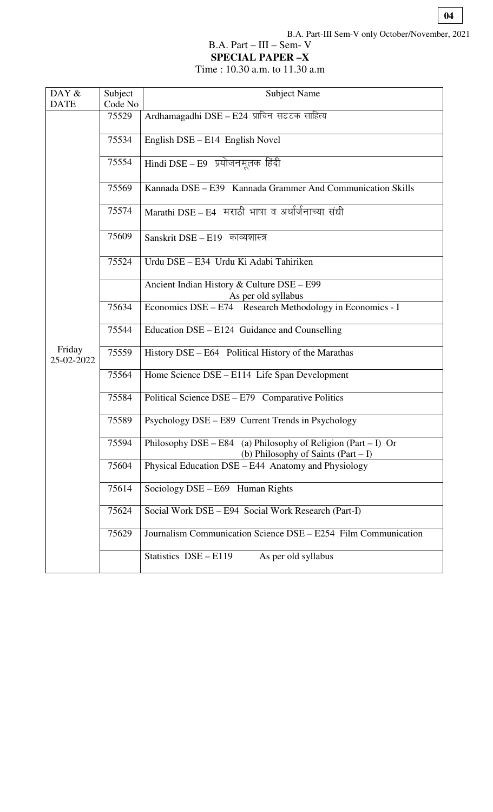## B.A. Part – III – Sem- V **SPECIAL PAPER –X**

Time : 10.30 a.m. to 11.30 a.m

| DAY &       | Subject | <b>Subject Name</b>                                            |
|-------------|---------|----------------------------------------------------------------|
| <b>DATE</b> | Code No |                                                                |
|             | 75529   | Ardhamagadhi DSE - E24 प्राचिन सटटक साहित्य                    |
|             |         |                                                                |
|             | 75534   | English DSE - E14 English Novel                                |
|             |         |                                                                |
|             | 75554   | Hindi DSE – E9  प्रयोजनमूलक हिंदी                              |
|             | 75569   |                                                                |
|             |         | Kannada DSE - E39 Kannada Grammer And Communication Skills     |
|             | 75574   | Marathi DSE - E4 मराठी भाषा व अर्थार्जनाच्या संधी              |
|             |         |                                                                |
|             | 75609   | Sanskrit DSE - E19 काव्यशास्त्र                                |
|             |         |                                                                |
|             | 75524   | Urdu DSE - E34 Urdu Ki Adabi Tahiriken                         |
|             |         |                                                                |
|             |         | Ancient Indian History & Culture DSE - E99                     |
|             |         | As per old syllabus                                            |
|             | 75634   | Economics DSE - E74 Research Methodology in Economics - I      |
|             |         |                                                                |
|             | 75544   | Education DSE – E124 Guidance and Counselling                  |
| Friday      | 75559   | History DSE – E64 Political History of the Marathas            |
| 25-02-2022  |         |                                                                |
|             | 75564   | Home Science DSE - E114 Life Span Development                  |
|             |         |                                                                |
|             | 75584   | Political Science DSE – E79 Comparative Politics               |
|             |         |                                                                |
|             | 75589   | Psychology DSE – E89 Current Trends in Psychology              |
|             | 75594   | Philosophy DSE – E84 (a) Philosophy of Religion (Part – I) Or  |
|             |         | (b) Philosophy of Saints (Part $-I$ )                          |
|             | 75604   | Physical Education DSE – E44 Anatomy and Physiology            |
|             |         |                                                                |
|             | 75614   | Sociology DSE - E69 Human Rights                               |
|             |         |                                                                |
|             | 75624   | Social Work DSE - E94 Social Work Research (Part-I)            |
|             | 75629   | Journalism Communication Science DSE - E254 Film Communication |
|             |         |                                                                |
|             |         | Statistics DSE-E119<br>As per old syllabus                     |
|             |         |                                                                |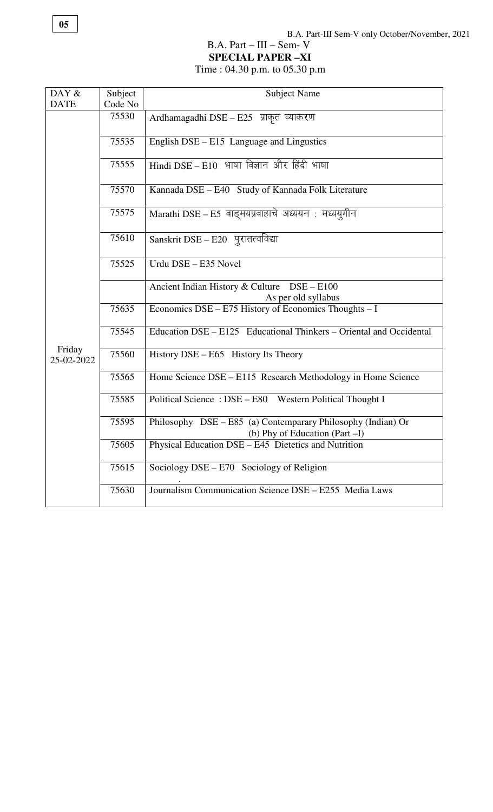B.A. Part-III Sem-V only October/November, 2021

### B.A. Part – III – Sem- V **SPECIAL PAPER –XI**

Time : 04.30 p.m. to 05.30 p.m

| DAY &                | Subject | <b>Subject Name</b>                                                                            |
|----------------------|---------|------------------------------------------------------------------------------------------------|
| <b>DATE</b>          | Code No |                                                                                                |
|                      | 75530   | Ardhamagadhi DSE - E25 प्राकृत व्याकरण                                                         |
|                      | 75535   | English DSE - E15 Language and Lingustics                                                      |
|                      | 75555   | Hindi DSE – $E10$ भाषा विज्ञान और हिंदी भाषा                                                   |
|                      | 75570   | Kannada DSE - E40 Study of Kannada Folk Literature                                             |
|                      | 75575   | Marathi DSE - E5 वाड्मयप्रवाहाचे अध्ययन: मध्ययुगीन                                             |
|                      | 75610   | Sanskrit DSE - E20 पुरातत्वविद्या                                                              |
|                      | 75525   | Urdu DSE - E35 Novel                                                                           |
|                      |         | Ancient Indian History & Culture DSE - E100<br>As per old syllabus                             |
|                      | 75635   | Economics DSE – E75 History of Economics Thoughts – I                                          |
|                      | 75545   | Education DSE – E125 Educational Thinkers – Oriental and Occidental                            |
| Friday<br>25-02-2022 | 75560   | History $DSE - E65$ History Its Theory                                                         |
|                      | 75565   | Home Science DSE - E115 Research Methodology in Home Science                                   |
|                      | 75585   | Political Science: DSE - E80 Western Political Thought I                                       |
|                      | 75595   | Philosophy DSE - E85 (a) Contemparary Philosophy (Indian) Or<br>(b) Phy of Education (Part -I) |
|                      | 75605   | Physical Education DSE – E45 Dietetics and Nutrition                                           |
|                      | 75615   | Sociology DSE – E70 Sociology of Religion                                                      |
|                      | 75630   | Journalism Communication Science DSE - E255 Media Laws                                         |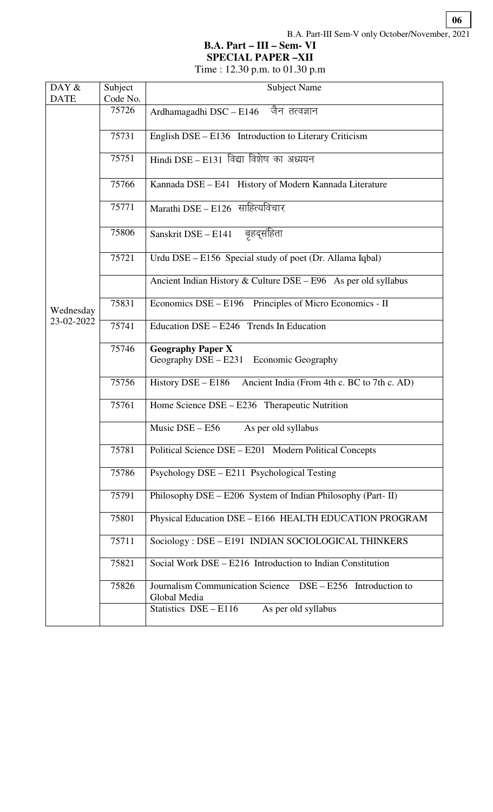### **B.A. Part – III – Sem- VI SPECIAL PAPER –XII**  Time : 12.30 p.m. to 01.30 p.m

| DAY &       | Subject            | <b>Subject Name</b>                                                             |
|-------------|--------------------|---------------------------------------------------------------------------------|
| <b>DATE</b> | Code No.           |                                                                                 |
|             | 75726              | जैन तत्वज्ञान<br>Ardhamagadhi DSC - E146                                        |
|             | 75731              | English DSE - E136 Introduction to Literary Criticism                           |
|             | 75751              | Hindi DSE - E131 विद्या विशेष का अध्ययन                                         |
|             | 75766              | Kannada DSE - E41 History of Modern Kannada Literature                          |
|             | 75771              | Marathi DSE - E126 साहित्यविचार                                                 |
|             | 75806              | बृहद्संहिता<br>Sanskrit DSE - E141                                              |
|             | $\overline{75721}$ | Urdu DSE - E156 Special study of poet (Dr. Allama Iqbal)                        |
|             |                    | Ancient Indian History & Culture $DSE - E96$ As per old syllabus                |
| Wednesday   | 75831              | Economics DSE – E196 Principles of Micro Economics - II                         |
| 23-02-2022  | 75741              | Education DSE - E246 Trends In Education                                        |
|             | 75746              | <b>Geography Paper X</b><br>Geography $DSE - E231$<br><b>Economic Geography</b> |
|             | 75756              | History $DSE - E186$<br>Ancient India (From 4th c. BC to 7th c. AD)             |
|             | 75761              | Home Science DSE - E236 Therapeutic Nutrition                                   |
|             |                    | Music DSE - E56<br>As per old syllabus                                          |
|             | 75781              | Political Science DSE – E201 Modern Political Concepts                          |
|             | 75786              | Psychology DSE – E211 Psychological Testing                                     |
|             | 75791              | Philosophy DSE – E206 System of Indian Philosophy (Part- II)                    |
|             | 75801              | Physical Education DSE - E166 HEALTH EDUCATION PROGRAM                          |
|             | 75711              | Sociology: DSE-E191 INDIAN SOCIOLOGICAL THINKERS                                |
|             | 75821              | Social Work DSE – E216 Introduction to Indian Constitution                      |
|             | 75826              | Journalism Communication Science DSE – E256 Introduction to<br>Global Media     |
|             |                    | Statistics DSE-E116<br>As per old syllabus                                      |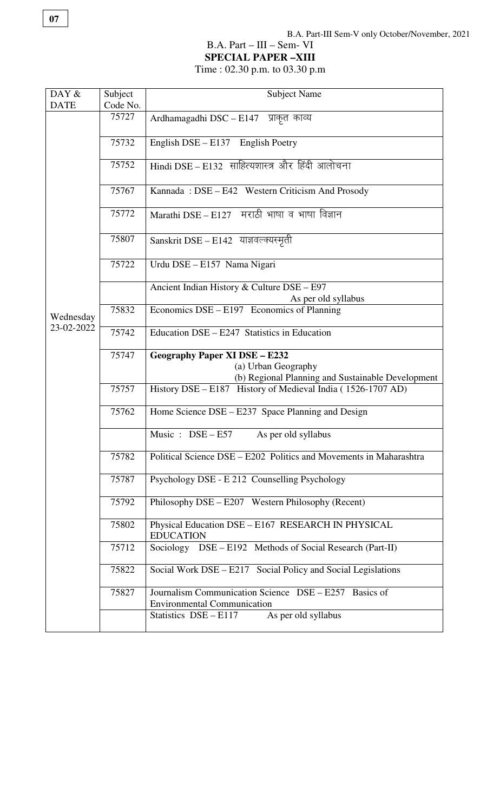### B.A. Part-III Sem-V only October/November, 2021

B.A. Part – III – Sem- VI **SPECIAL PAPER –XIII** 

Time : 02.30 p.m. to 03.30 p.m

| DAY &       | Subject  | <b>Subject Name</b>                                                                         |
|-------------|----------|---------------------------------------------------------------------------------------------|
| <b>DATE</b> | Code No. |                                                                                             |
|             | 75727    | Ardhamagadhi DSC - E147 प्राकृत काव्य                                                       |
|             | 75732    | English $DSE - E137$ English Poetry                                                         |
|             | 75752    | Hindi DSE - E132 साहित्यशास्त्र और हिंदी आलोचना                                             |
|             | 75767    | Kannada: DSE – E42 Western Criticism And Prosody                                            |
|             | 75772    | Marathi DSE - E127 मराठी भाषा व भाषा विज्ञान                                                |
|             | 75807    | $Sanskrit DSE - E142$ याज्ञवल्क्यस्मृती                                                     |
|             | 75722    | Urdu DSE - E157 Nama Nigari                                                                 |
|             |          | Ancient Indian History & Culture DSE - E97                                                  |
|             |          | As per old syllabus                                                                         |
| Wednesday   | 75832    | Economics DSE – E197 Economics of Planning                                                  |
| 23-02-2022  | 75742    | Education DSE – E247 Statistics in Education                                                |
|             | 75747    | <b>Geography Paper XI DSE - E232</b>                                                        |
|             |          | (a) Urban Geography                                                                         |
|             |          | (b) Regional Planning and Sustainable Development                                           |
|             | 75757    | History DSE - E187 History of Medieval India (1526-1707 AD)                                 |
|             | 75762    | Home Science DSE - E237 Space Planning and Design                                           |
|             |          | Music: $DSE - E57$<br>As per old syllabus                                                   |
|             | 75782    | Political Science DSE – E202 Politics and Movements in Maharashtra                          |
|             | 75787    | Psychology DSE - E 212 Counselling Psychology                                               |
|             | 75792    | Philosophy DSE – E207 Western Philosophy (Recent)                                           |
|             | 75802    | Physical Education DSE - E167 RESEARCH IN PHYSICAL<br><b>EDUCATION</b>                      |
|             | 75712    | Sociology DSE – E192 Methods of Social Research (Part-II)                                   |
|             | 75822    | Social Work DSE - E217 Social Policy and Social Legislations                                |
|             | 75827    | Journalism Communication Science DSE – E257 Basics of<br><b>Environmental Communication</b> |
|             |          | As per old syllabus<br>Statistics DSE - E117                                                |
|             |          |                                                                                             |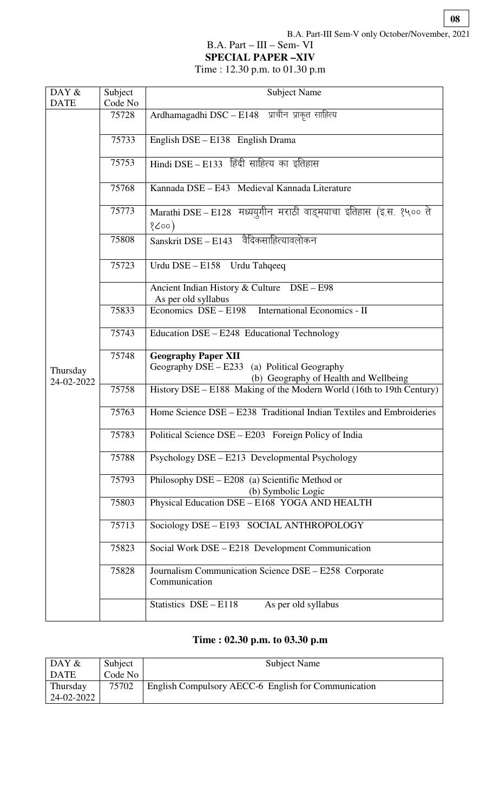**08**

### B.A. Part – III – Sem- VI **SPECIAL PAPER –XIV**

Time : 12.30 p.m. to 01.30 p.m

| DAY &                  | Subject | <b>Subject Name</b>                                                                                                 |
|------------------------|---------|---------------------------------------------------------------------------------------------------------------------|
| <b>DATE</b>            | Code No |                                                                                                                     |
|                        | 75728   | Ardhamagadhi DSC - E148 प्राचीन प्राकृत साहित्य                                                                     |
|                        | 75733   | English DSE - E138 English Drama                                                                                    |
|                        | 75753   | Hindi DSE - E133 हिंदी साहित्य का इतिहास                                                                            |
|                        | 75768   | Kannada DSE - E43 Medieval Kannada Literature                                                                       |
|                        | 75773   | Marathi DSE - E128 मध्ययुगीन मराठी वाड्मयाचा इतिहास (इ.स. १५०० ते<br>$\zeta$ Coo)                                   |
|                        | 75808   | Sanskrit DSE - E143 वैदिकसाहित्यावलोकन                                                                              |
|                        | 75723   | Urdu DSE - E158 Urdu Tahqeeq                                                                                        |
|                        |         | Ancient Indian History & Culture DSE - E98<br>As per old syllabus                                                   |
|                        | 75833   | Economics DSE – E198<br>International Economics - II                                                                |
|                        | 75743   | Education DSE – E248 Educational Technology                                                                         |
| Thursday<br>24-02-2022 | 75748   | <b>Geography Paper XII</b><br>Geography DSE - E233 (a) Political Geography<br>(b) Geography of Health and Wellbeing |
|                        | 75758   | History DSE - E188 Making of the Modern World (16th to 19th Century)                                                |
|                        | 75763   | Home Science DSE – E238 Traditional Indian Textiles and Embroideries                                                |
|                        | 75783   | Political Science DSE – E203 Foreign Policy of India                                                                |
|                        | 75788   | Psychology DSE - E213 Developmental Psychology                                                                      |
|                        | 75793   | Philosophy DSE - E208 (a) Scientific Method or<br>(b) Symbolic Logic                                                |
|                        | 75803   | Physical Education DSE - E168 YOGA AND HEALTH                                                                       |
|                        | 75713   | Sociology DSE - E193 SOCIAL ANTHROPOLOGY                                                                            |
|                        | 75823   | Social Work DSE - E218 Development Communication                                                                    |
|                        | 75828   | Journalism Communication Science DSE - E258 Corporate<br>Communication                                              |
|                        |         | Statistics DSE-E118<br>As per old syllabus                                                                          |

# **Time : 02.30 p.m. to 03.30 p.m**

| $\overline{DAY\&}$ | Subject | Subject Name                                        |
|--------------------|---------|-----------------------------------------------------|
| DATE               | Code No |                                                     |
| Thursday           | 75702   | English Compulsory AECC-6 English for Communication |
| 24-02-2022         |         |                                                     |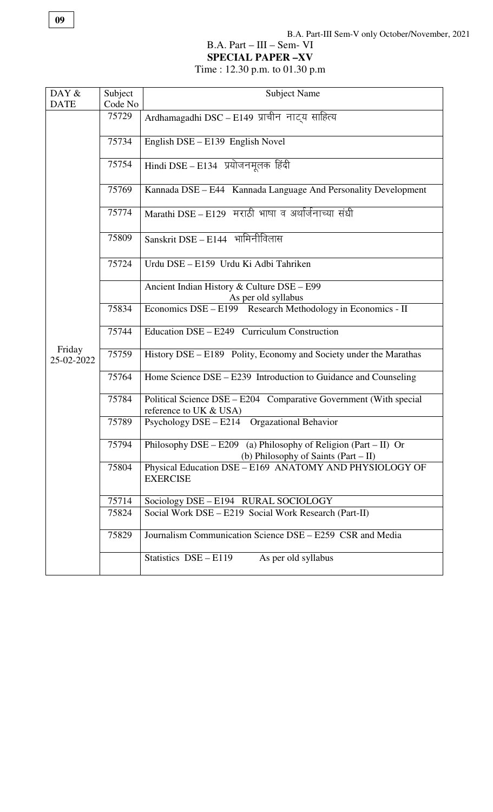## B.A. Part-III Sem-V only October/November, 2021

B.A. Part – III – Sem- VI **SPECIAL PAPER –XV** 

Time : 12.30 p.m. to 01.30 p.m

| DAY &                | Subject | <b>Subject Name</b>                                                                                     |
|----------------------|---------|---------------------------------------------------------------------------------------------------------|
| <b>DATE</b>          | Code No |                                                                                                         |
| Friday<br>25-02-2022 | 75729   | Ardhamagadhi DSC - E149 प्राचीन नाट्य साहित्य                                                           |
|                      | 75734   | English DSE - E139 English Novel                                                                        |
|                      | 75754   | Hindi DSE - E134 प्रयोजनमूलक हिंदी                                                                      |
|                      | 75769   | Kannada DSE – E44 Kannada Language And Personality Development                                          |
|                      | 75774   | Marathi DSE - E129 मराठी भाषा व अर्थार्जनाच्या संधी                                                     |
|                      | 75809   | Sanskrit DSE - E144 भामिनीविलास                                                                         |
|                      | 75724   | Urdu DSE - E159 Urdu Ki Adbi Tahriken                                                                   |
|                      |         | Ancient Indian History & Culture DSE - E99<br>As per old syllabus                                       |
|                      | 75834   | Economics DSE - E199 Research Methodology in Economics - II                                             |
|                      | 75744   | Education DSE – E249 Curriculum Construction                                                            |
|                      | 75759   | History DSE – E189 Polity, Economy and Society under the Marathas                                       |
|                      | 75764   | Home Science DSE – E239 Introduction to Guidance and Counseling                                         |
|                      | 75784   | Political Science DSE - E204 Comparative Government (With special<br>reference to UK $&$ USA)           |
|                      | 75789   | Psychology DSE - E214 Orgazational Behavior                                                             |
|                      | 75794   | Philosophy DSE – E209 (a) Philosophy of Religion (Part – II) Or<br>(b) Philosophy of Saints (Part – II) |
|                      | 75804   | Physical Education DSE - E169 ANATOMY AND PHYSIOLOGY OF<br><b>EXERCISE</b>                              |
|                      | 75714   | Sociology DSE - E194 RURAL SOCIOLOGY                                                                    |
|                      | 75824   | Social Work DSE - E219 Social Work Research (Part-II)                                                   |
|                      | 75829   | Journalism Communication Science DSE – E259 CSR and Media                                               |
|                      |         | Statistics DSE-E119<br>As per old syllabus                                                              |